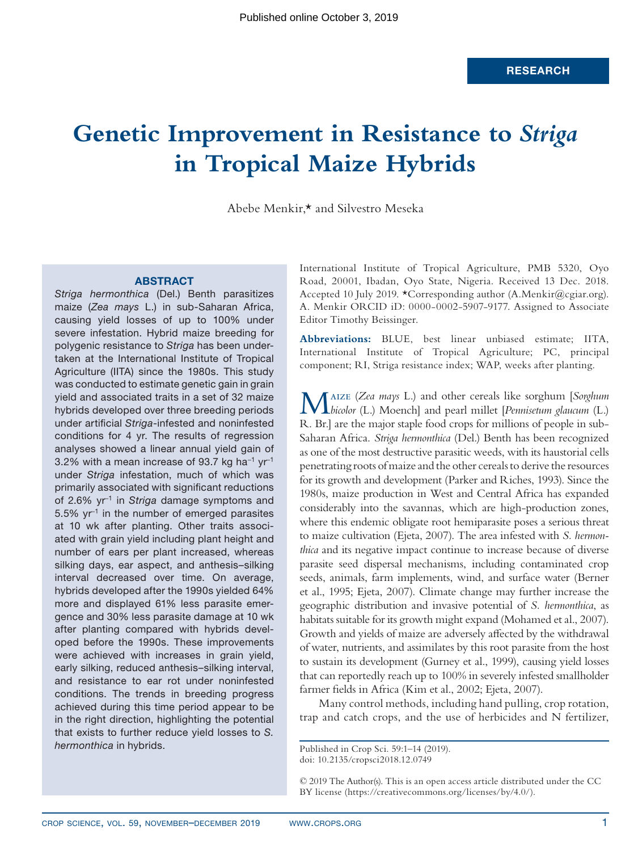# **Genetic Improvement in Resistance to** *Striga* **in Tropical Maize Hybrids**

Abebe Menkir,\* and Silvestro Meseka

#### ABSTRACT

*Striga hermonthica* (Del.) Benth parasitizes maize (*Zea mays* L.) in sub-Saharan Africa, causing yield losses of up to 100% under severe infestation. Hybrid maize breeding for polygenic resistance to *Striga* has been undertaken at the International Institute of Tropical Agriculture (IITA) since the 1980s. This study was conducted to estimate genetic gain in grain yield and associated traits in a set of 32 maize hybrids developed over three breeding periods under artificial *Striga*-infested and noninfested conditions for 4 yr. The results of regression analyses showed a linear annual yield gain of 3.2% with a mean increase of 93.7 kg ha−1 yr−1 under *Striga* infestation, much of which was primarily associated with significant reductions of 2.6% yr−1 in *Striga* damage symptoms and 5.5% yr−1 in the number of emerged parasites at 10 wk after planting. Other traits associated with grain yield including plant height and number of ears per plant increased, whereas silking days, ear aspect, and anthesis–silking interval decreased over time. On average, hybrids developed after the 1990s yielded 64% more and displayed 61% less parasite emergence and 30% less parasite damage at 10 wk after planting compared with hybrids developed before the 1990s. These improvements were achieved with increases in grain yield, early silking, reduced anthesis–silking interval, and resistance to ear rot under noninfested conditions. The trends in breeding progress achieved during this time period appear to be in the right direction, highlighting the potential that exists to further reduce yield losses to *S. hermonthica* in hybrids.

International Institute of Tropical Agriculture, PMB 5320, Oyo Road, 20001, Ibadan, Oyo State, Nigeria. Received 13 Dec. 2018. Accepted 10 July 2019. \*Corresponding author ([A.Menkir@cgiar.org\)](mailto:A.Menkir@cgiar.org). A. Menkir ORCID iD: 0000-0002-5907-9177. Assigned to Associate Editor Timothy Beissinger.

**Abbreviations:** BLUE, best linear unbiased estimate; IITA, International Institute of Tropical Agriculture; PC, principal component; RI, Striga resistance index; WAP, weeks after planting.

Maize (*Zea mays* L.) and other cereals like sorghum [*Sorghum bicolor* (L.) Moench] and pearl millet [*Pennisetum glaucum* (L.) R. Br.] are the major staple food crops for millions of people in sub-Saharan Africa. *Striga hermonthica* (Del.) Benth has been recognized as one of the most destructive parasitic weeds, with its haustorial cells penetrating roots of maize and the other cereals to derive the resources for its growth and development (Parker and Riches, 1993). Since the 1980s, maize production in West and Central Africa has expanded considerably into the savannas, which are high-production zones, where this endemic obligate root hemiparasite poses a serious threat to maize cultivation (Ejeta, 2007). The area infested with *S. hermonthica* and its negative impact continue to increase because of diverse parasite seed dispersal mechanisms, including contaminated crop seeds, animals, farm implements, wind, and surface water (Berner et al., 1995; Ejeta, 2007). Climate change may further increase the geographic distribution and invasive potential of *S. hermonthica*, as habitats suitable for its growth might expand (Mohamed et al., 2007). Growth and yields of maize are adversely affected by the withdrawal of water, nutrients, and assimilates by this root parasite from the host to sustain its development (Gurney et al., 1999), causing yield losses that can reportedly reach up to 100% in severely infested smallholder farmer fields in Africa (Kim et al., 2002; Ejeta, 2007).

Many control methods, including hand pulling, crop rotation, trap and catch crops, and the use of herbicides and N fertilizer,

© 2019 The Author(s). This is an open access article distributed under the CC BY license ([https://creativecommons.org/licenses/by/4.0/\)](https://creativecommons.org/licenses/by/4.0/).

Published in Crop Sci. 59:1–14 (2019). doi: 10.2135/cropsci2018.12.0749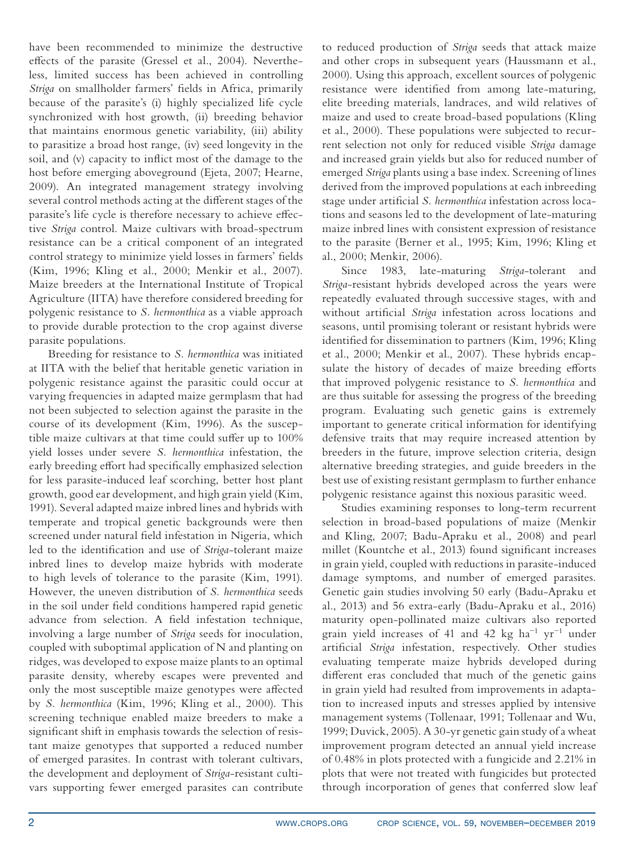have been recommended to minimize the destructive effects of the parasite (Gressel et al., 2004). Nevertheless, limited success has been achieved in controlling *Striga* on smallholder farmers' fields in Africa, primarily because of the parasite's (i) highly specialized life cycle synchronized with host growth, (ii) breeding behavior that maintains enormous genetic variability, (iii) ability to parasitize a broad host range, (iv) seed longevity in the soil, and (v) capacity to inflict most of the damage to the host before emerging aboveground (Ejeta, 2007; Hearne, 2009). An integrated management strategy involving several control methods acting at the different stages of the parasite's life cycle is therefore necessary to achieve effective *Striga* control. Maize cultivars with broad-spectrum resistance can be a critical component of an integrated control strategy to minimize yield losses in farmers' fields (Kim, 1996; Kling et al., 2000; Menkir et al., 2007). Maize breeders at the International Institute of Tropical Agriculture (IITA) have therefore considered breeding for polygenic resistance to *S. hermonthica* as a viable approach to provide durable protection to the crop against diverse parasite populations.

Breeding for resistance to *S. hermonthica* was initiated at IITA with the belief that heritable genetic variation in polygenic resistance against the parasitic could occur at varying frequencies in adapted maize germplasm that had not been subjected to selection against the parasite in the course of its development (Kim, 1996). As the susceptible maize cultivars at that time could suffer up to 100% yield losses under severe *S. hermonthica* infestation, the early breeding effort had specifically emphasized selection for less parasite-induced leaf scorching, better host plant growth, good ear development, and high grain yield (Kim, 1991). Several adapted maize inbred lines and hybrids with temperate and tropical genetic backgrounds were then screened under natural field infestation in Nigeria, which led to the identification and use of *Striga*-tolerant maize inbred lines to develop maize hybrids with moderate to high levels of tolerance to the parasite (Kim, 1991). However, the uneven distribution of *S. hermonthica* seeds in the soil under field conditions hampered rapid genetic advance from selection. A field infestation technique, involving a large number of *Striga* seeds for inoculation, coupled with suboptimal application of N and planting on ridges, was developed to expose maize plants to an optimal parasite density, whereby escapes were prevented and only the most susceptible maize genotypes were affected by *S. hermonthica* (Kim, 1996; Kling et al., 2000). This screening technique enabled maize breeders to make a significant shift in emphasis towards the selection of resistant maize genotypes that supported a reduced number of emerged parasites. In contrast with tolerant cultivars, the development and deployment of *Striga*-resistant cultivars supporting fewer emerged parasites can contribute

to reduced production of *Striga* seeds that attack maize and other crops in subsequent years (Haussmann et al., 2000). Using this approach, excellent sources of polygenic resistance were identified from among late-maturing, elite breeding materials, landraces, and wild relatives of maize and used to create broad-based populations (Kling et al., 2000). These populations were subjected to recurrent selection not only for reduced visible *Striga* damage and increased grain yields but also for reduced number of emerged *Striga* plants using a base index. Screening of lines derived from the improved populations at each inbreeding stage under artificial *S. hermonthica* infestation across locations and seasons led to the development of late-maturing maize inbred lines with consistent expression of resistance to the parasite (Berner et al., 1995; Kim, 1996; Kling et al., 2000; Menkir, 2006).

Since 1983, late-maturing *Striga*-tolerant and *Striga*-resistant hybrids developed across the years were repeatedly evaluated through successive stages, with and without artificial *Striga* infestation across locations and seasons, until promising tolerant or resistant hybrids were identified for dissemination to partners (Kim, 1996; Kling et al., 2000; Menkir et al., 2007). These hybrids encapsulate the history of decades of maize breeding efforts that improved polygenic resistance to *S. hermonthica* and are thus suitable for assessing the progress of the breeding program. Evaluating such genetic gains is extremely important to generate critical information for identifying defensive traits that may require increased attention by breeders in the future, improve selection criteria, design alternative breeding strategies, and guide breeders in the best use of existing resistant germplasm to further enhance polygenic resistance against this noxious parasitic weed.

Studies examining responses to long-term recurrent selection in broad-based populations of maize (Menkir and Kling, 2007; Badu-Apraku et al., 2008) and pearl millet (Kountche et al., 2013) found significant increases in grain yield, coupled with reductions in parasite-induced damage symptoms, and number of emerged parasites. Genetic gain studies involving 50 early (Badu-Apraku et al., 2013) and 56 extra-early (Badu-Apraku et al., 2016) maturity open-pollinated maize cultivars also reported grain yield increases of 41 and 42 kg ha<sup>-1</sup> yr<sup>-1</sup> under artificial *Striga* infestation, respectively. Other studies evaluating temperate maize hybrids developed during different eras concluded that much of the genetic gains in grain yield had resulted from improvements in adaptation to increased inputs and stresses applied by intensive management systems (Tollenaar, 1991; Tollenaar and Wu, 1999; Duvick, 2005). A 30-yr genetic gain study of a wheat improvement program detected an annual yield increase of 0.48% in plots protected with a fungicide and 2.21% in plots that were not treated with fungicides but protected through incorporation of genes that conferred slow leaf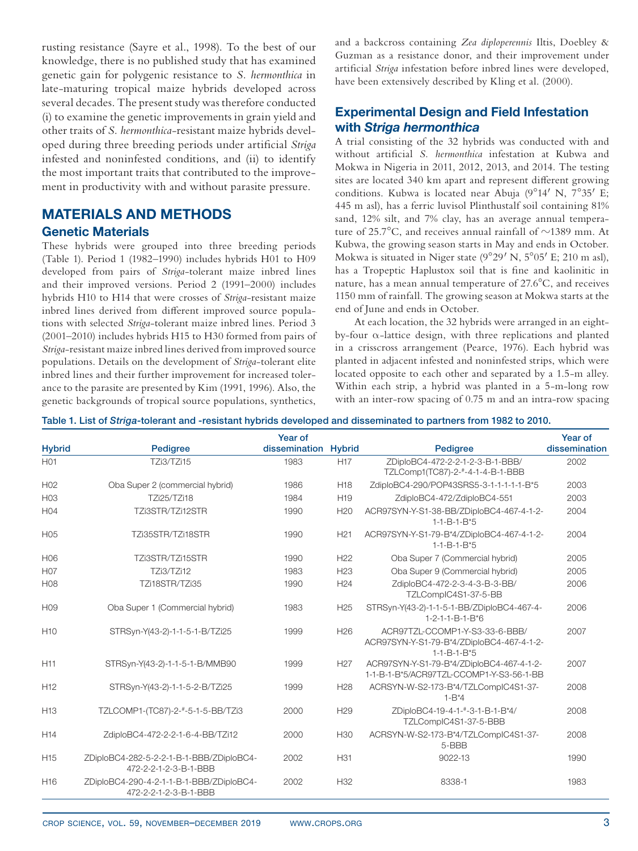rusting resistance (Sayre et al., 1998). To the best of our knowledge, there is no published study that has examined genetic gain for polygenic resistance to *S. hermonthica* in late-maturing tropical maize hybrids developed across several decades. The present study was therefore conducted (i) to examine the genetic improvements in grain yield and other traits of *S. hermonthica*-resistant maize hybrids developed during three breeding periods under artificial *Striga* infested and noninfested conditions, and (ii) to identify the most important traits that contributed to the improvement in productivity with and without parasite pressure.

# MATERIALS AND METHODS

#### Genetic Materials

These hybrids were grouped into three breeding periods (Table 1). Period 1 (1982–1990) includes hybrids H01 to H09 developed from pairs of *Striga*-tolerant maize inbred lines and their improved versions. Period 2 (1991–2000) includes hybrids H10 to H14 that were crosses of *Striga*-resistant maize inbred lines derived from different improved source populations with selected *Striga*-tolerant maize inbred lines. Period 3 (2001–2010) includes hybrids H15 to H30 formed from pairs of *Striga*-resistant maize inbred lines derived from improved source populations. Details on the development of *Striga*-tolerant elite inbred lines and their further improvement for increased tolerance to the parasite are presented by Kim (1991, 1996). Also, the genetic backgrounds of tropical source populations, synthetics,

and a backcross containing *Zea diploperennis* Iltis, Doebley & Guzman as a resistance donor, and their improvement under artificial *Striga* infestation before inbred lines were developed, have been extensively described by Kling et al. (2000).

# Experimental Design and Field Infestation with *Striga hermonthica*

A trial consisting of the 32 hybrids was conducted with and without artificial *S. hermonthica* infestation at Kubwa and Mokwa in Nigeria in 2011, 2012, 2013, and 2014. The testing sites are located 340 km apart and represent different growing conditions. Kubwa is located near Abuja ( $9^{\circ}14'$  N,  $7^{\circ}35'$  E; 445 m asl), has a ferric luvisol Plinthustalf soil containing 81% sand, 12% silt, and 7% clay, has an average annual temperature of 25.7°C, and receives annual rainfall of  $\sim$ 1389 mm. At Kubwa, the growing season starts in May and ends in October. Mokwa is situated in Niger state  $(9°29' N, 5°05' E; 210 m asl)$ , has a Tropeptic Haplustox soil that is fine and kaolinitic in nature, has a mean annual temperature of 27.6°C, and receives 1150 mm of rainfall. The growing season at Mokwa starts at the end of June and ends in October.

At each location, the 32 hybrids were arranged in an eightby-four  $\alpha$ -lattice design, with three replications and planted in a crisscross arrangement (Pearce, 1976). Each hybrid was planted in adjacent infested and noninfested strips, which were located opposite to each other and separated by a 1.5-m alley. Within each strip, a hybrid was planted in a 5-m-long row with an inter-row spacing of 0.75 m and an intra-row spacing

| Table 1. List of Striga-tolerant and -resistant hybrids developed and disseminated to partners from 1982 to 2010. |  |  |  |
|-------------------------------------------------------------------------------------------------------------------|--|--|--|
|                                                                                                                   |  |  |  |

|                 |                                                                   | Year of              |                 |                                                                                                       | Year of       |
|-----------------|-------------------------------------------------------------------|----------------------|-----------------|-------------------------------------------------------------------------------------------------------|---------------|
| <b>Hybrid</b>   | <b>Pedigree</b>                                                   | dissemination Hybrid |                 | Pedigree                                                                                              | dissemination |
| H <sub>01</sub> | TZi3/TZi15                                                        | 1983                 | <b>H17</b>      | ZDiploBC4-472-2-2-1-2-3-B-1-BBB/<br>TZLComp1(TC87)-2-#-4-1-4-B-1-BBB                                  | 2002          |
| H <sub>02</sub> | Oba Super 2 (commercial hybrid)                                   | 1986                 | H <sub>18</sub> | ZdiploBC4-290/POP43SRS5-3-1-1-1-1-1-B*5                                                               | 2003          |
| H <sub>03</sub> | TZi25/TZi18                                                       | 1984                 | H <sub>19</sub> | ZdiploBC4-472/ZdiploBC4-551                                                                           | 2003          |
| H <sub>04</sub> | TZi3STR/TZi12STR                                                  | 1990                 | H <sub>20</sub> | ACR97SYN-Y-S1-38-BB/ZDiploBC4-467-4-1-2-<br>$1 - 1 - B - 1 - B^*5$                                    | 2004          |
| H <sub>05</sub> | TZi35STR/TZi18STR                                                 | 1990                 | H <sub>21</sub> | ACR97SYN-Y-S1-79-B*4/ZDiploBC4-467-4-1-2-<br>$1 - 1 - B - 1 - B^*5$                                   | 2004          |
| H06             | TZi3STR/TZi15STR                                                  | 1990                 | H <sub>22</sub> | Oba Super 7 (Commercial hybrid)                                                                       | 2005          |
| H <sub>07</sub> | TZi3/TZi12                                                        | 1983                 | H <sub>23</sub> | Oba Super 9 (Commercial hybrid)                                                                       | 2005          |
| H08             | TZi18STR/TZi35                                                    | 1990                 | H <sub>24</sub> | ZdiploBC4-472-2-3-4-3-B-3-BB/<br>TZLComplC4S1-37-5-BB                                                 | 2006          |
| H <sub>09</sub> | Oba Super 1 (Commercial hybrid)                                   | 1983                 | H <sub>25</sub> | STRSyn-Y(43-2)-1-1-5-1-BB/ZDiploBC4-467-4-<br>1-2-1-1-B-1-B*6                                         | 2006          |
| H <sub>10</sub> | STRSyn-Y(43-2)-1-1-5-1-B/TZi25                                    | 1999                 | H <sub>26</sub> | ACR97TZL-CCOMP1-Y-S3-33-6-BBB/<br>ACR97SYN-Y-S1-79-B*4/ZDiploBC4-467-4-1-2-<br>$1 - 1 - B - 1 - B^*5$ | 2007          |
| H <sub>11</sub> | STRSyn-Y(43-2)-1-1-5-1-B/MMB90                                    | 1999                 | H <sub>27</sub> | ACR97SYN-Y-S1-79-B*4/ZDiploBC4-467-4-1-2-<br>1-1-B-1-B*5/ACR97TZL-CCOMP1-Y-S3-56-1-BB                 | 2007          |
| H <sub>12</sub> | STRSyn-Y(43-2)-1-1-5-2-B/TZi25                                    | 1999                 | H <sub>28</sub> | ACRSYN-W-S2-173-B*4/TZLComplC4S1-37-<br>$1 - B^*4$                                                    | 2008          |
| H <sub>13</sub> | TZLCOMP1-(TC87)-2-#-5-1-5-BB/TZi3                                 | 2000                 | H <sub>29</sub> | ZDiploBC4-19-4-1-#-3-1-B-1-B*4/<br>TZLComplC4S1-37-5-BBB                                              | 2008          |
| H <sub>14</sub> | ZdiploBC4-472-2-2-1-6-4-BB/TZi12                                  | 2000                 | H <sub>30</sub> | ACRSYN-W-S2-173-B*4/TZLComplC4S1-37-<br>5-BBB                                                         | 2008          |
| H <sub>15</sub> | ZDiploBC4-282-5-2-2-1-B-1-BBB/ZDiploBC4-<br>472-2-2-1-2-3-B-1-BBB | 2002                 | H31             | 9022-13                                                                                               | 1990          |
| H <sub>16</sub> | ZDiploBC4-290-4-2-1-1-B-1-BBB/ZDiploBC4-<br>472-2-2-1-2-3-B-1-BBB | 2002                 | H <sub>32</sub> | 8338-1                                                                                                | 1983          |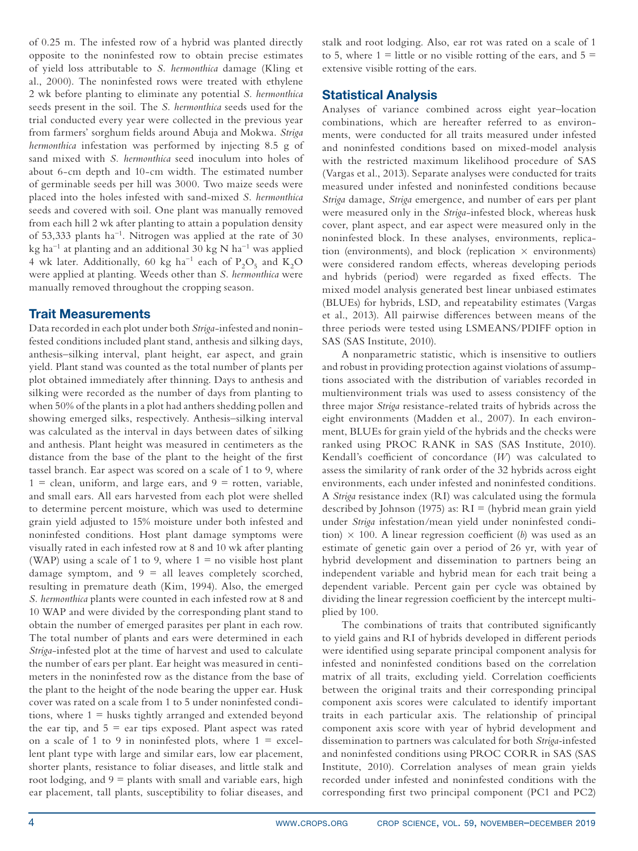of 0.25 m. The infested row of a hybrid was planted directly opposite to the noninfested row to obtain precise estimates of yield loss attributable to *S. hermonthica* damage (Kling et al., 2000). The noninfested rows were treated with ethylene 2 wk before planting to eliminate any potential *S. hermonthica* seeds present in the soil. The *S. hermonthica* seeds used for the trial conducted every year were collected in the previous year from farmers' sorghum fields around Abuja and Mokwa. *Striga hermonthica* infestation was performed by injecting 8.5 g of sand mixed with *S. hermonthica* seed inoculum into holes of about 6-cm depth and 10-cm width. The estimated number of germinable seeds per hill was 3000. Two maize seeds were placed into the holes infested with sand-mixed *S. hermonthica* seeds and covered with soil. One plant was manually removed from each hill 2 wk after planting to attain a population density of 53,333 plants ha−1. Nitrogen was applied at the rate of 30 kg ha−1 at planting and an additional 30 kg N ha−1 was applied 4 wk later. Additionally, 60 kg ha<sup>-1</sup> each of  $P_2O_5$  and  $K_2O$ were applied at planting. Weeds other than *S. hermonthica* were manually removed throughout the cropping season.

#### Trait Measurements

Data recorded in each plot under both *Striga*-infested and noninfested conditions included plant stand, anthesis and silking days, anthesis–silking interval, plant height, ear aspect, and grain yield. Plant stand was counted as the total number of plants per plot obtained immediately after thinning. Days to anthesis and silking were recorded as the number of days from planting to when 50% of the plants in a plot had anthers shedding pollen and showing emerged silks, respectively. Anthesis–silking interval was calculated as the interval in days between dates of silking and anthesis. Plant height was measured in centimeters as the distance from the base of the plant to the height of the first tassel branch. Ear aspect was scored on a scale of 1 to 9, where  $1 =$  clean, uniform, and large ears, and  $9 =$  rotten, variable, and small ears. All ears harvested from each plot were shelled to determine percent moisture, which was used to determine grain yield adjusted to 15% moisture under both infested and noninfested conditions. Host plant damage symptoms were visually rated in each infested row at 8 and 10 wk after planting (WAP) using a scale of 1 to 9, where  $1 =$  no visible host plant damage symptom, and  $9 =$  all leaves completely scorched, resulting in premature death (Kim, 1994). Also, the emerged *S. hermonthica* plants were counted in each infested row at 8 and 10 WAP and were divided by the corresponding plant stand to obtain the number of emerged parasites per plant in each row. The total number of plants and ears were determined in each *Striga*-infested plot at the time of harvest and used to calculate the number of ears per plant. Ear height was measured in centimeters in the noninfested row as the distance from the base of the plant to the height of the node bearing the upper ear. Husk cover was rated on a scale from 1 to 5 under noninfested conditions, where 1 = husks tightly arranged and extended beyond the ear tip, and  $5 =$  ear tips exposed. Plant aspect was rated on a scale of 1 to 9 in noninfested plots, where  $1 = \text{excel}$ lent plant type with large and similar ears, low ear placement, shorter plants, resistance to foliar diseases, and little stalk and root lodging, and 9 = plants with small and variable ears, high ear placement, tall plants, susceptibility to foliar diseases, and

stalk and root lodging. Also, ear rot was rated on a scale of 1 to 5, where  $1 =$  little or no visible rotting of the ears, and  $5 =$ extensive visible rotting of the ears.

#### Statistical Analysis

Analyses of variance combined across eight year–location combinations, which are hereafter referred to as environments, were conducted for all traits measured under infested and noninfested conditions based on mixed-model analysis with the restricted maximum likelihood procedure of SAS (Vargas et al., 2013). Separate analyses were conducted for traits measured under infested and noninfested conditions because *Striga* damage, *Striga* emergence, and number of ears per plant were measured only in the *Striga*-infested block, whereas husk cover, plant aspect, and ear aspect were measured only in the noninfested block. In these analyses, environments, replication (environments), and block (replication  $\times$  environments) were considered random effects, whereas developing periods and hybrids (period) were regarded as fixed effects. The mixed model analysis generated best linear unbiased estimates (BLUEs) for hybrids, LSD, and repeatability estimates (Vargas et al., 2013). All pairwise differences between means of the three periods were tested using LSMEANS/PDIFF option in SAS (SAS Institute, 2010).

A nonparametric statistic, which is insensitive to outliers and robust in providing protection against violations of assumptions associated with the distribution of variables recorded in multienvironment trials was used to assess consistency of the three major *Striga* resistance-related traits of hybrids across the eight environments (Madden et al., 2007). In each environment, BLUEs for grain yield of the hybrids and the checks were ranked using PROC RANK in SAS (SAS Institute, 2010). Kendall's coefficient of concordance (*W*) was calculated to assess the similarity of rank order of the 32 hybrids across eight environments, each under infested and noninfested conditions. A *Striga* resistance index (RI) was calculated using the formula described by Johnson (1975) as:  $RI = (hybrid mean grain yield$ under *Striga* infestation/mean yield under noninfested condition)  $\times$  100. A linear regression coefficient (*b*) was used as an estimate of genetic gain over a period of 26 yr, with year of hybrid development and dissemination to partners being an independent variable and hybrid mean for each trait being a dependent variable. Percent gain per cycle was obtained by dividing the linear regression coefficient by the intercept multiplied by 100.

The combinations of traits that contributed significantly to yield gains and RI of hybrids developed in different periods were identified using separate principal component analysis for infested and noninfested conditions based on the correlation matrix of all traits, excluding yield. Correlation coefficients between the original traits and their corresponding principal component axis scores were calculated to identify important traits in each particular axis. The relationship of principal component axis score with year of hybrid development and dissemination to partners was calculated for both *Striga-*infested and noninfested conditions using PROC CORR in SAS (SAS Institute, 2010). Correlation analyses of mean grain yields recorded under infested and noninfested conditions with the corresponding first two principal component (PC1 and PC2)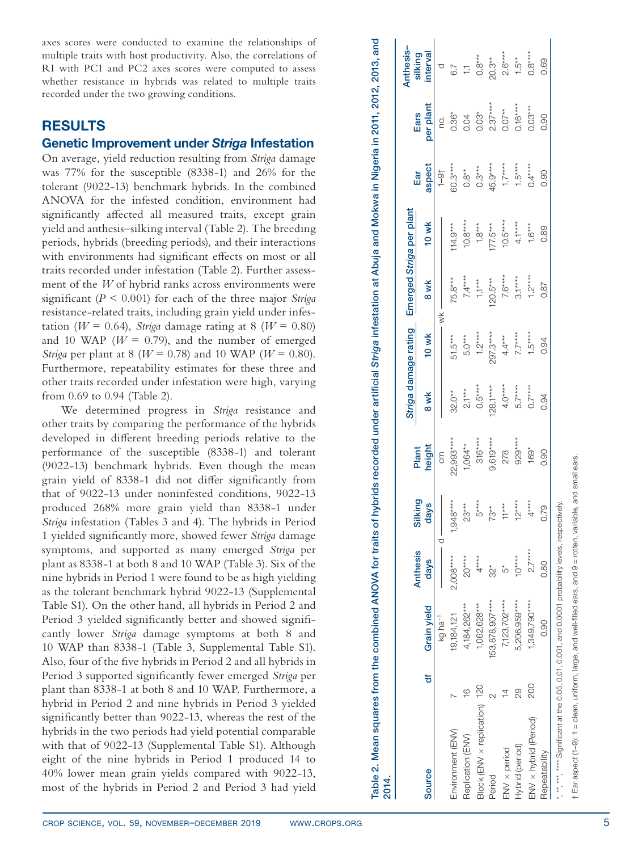axes scores were conducted to examine the relationships of multiple traits with host productivity. Also, the correlations of RI with PC1 and PC2 axes scores were computed to assess whether resistance in hybrids was related to multiple traits recorded under the two growing conditions.

# RESULTS

# Genetic Improvement under *Striga* Infestation

On average, yield reduction resulting from *Striga* damage was 77% for the susceptible (8338-1) and 26% for the tolerant (9022-13) benchmark hybrids. In the combined ANOVA for the infested condition, environment had significantly affected all measured traits, except grain yield and anthesis–silking interval (Table 2). The breeding periods, hybrids (breeding periods), and their interactions with environments had significant effects on most or all traits recorded under infestation (Table 2). Further assess ment of the *W* of hybrid ranks across environments were significant ( *P* < 0.001) for each of the three major *Striga* resistance-related traits, including grain yield under infes tation ( $W = 0.64$ ), *Striga* damage rating at 8 ( $W = 0.80$ ) and 10 WAP ( $W = 0.79$ ), and the number of emerged *Striga* per plant at 8 ( *W* = 0.78) and 10 WAP ( *W* = 0.80). Furthermore, repeatability estimates for these three and other traits recorded under infestation were high, varying from 0.69 to 0.94 (Table 2).

We determined progress in *Striga* resistance and other traits by comparing the performance of the hybrids developed in different breeding periods relative to the performance of the susceptible (8338-1) and tolerant (9022-13) benchmark hybrids. Even though the mean grain yield of 8338-1 did not differ significantly from that of 9022-13 under noninfested conditions, 9022-13 produced 268% more grain yield than 8338-1 under *Striga* infestation (Tables 3 and 4). The hybrids in Period 1 yielded significantly more, showed fewer *Striga* damage symptoms, and supported as many emerged *Striga* per plant as 8338-1 at both 8 and 10 WAP (Table 3). Six of the nine hybrids in Period 1 were found to be as high yielding as the tolerant benchmark hybrid 9022-13 (Supplemental Table S1). On the other hand, all hybrids in Period 2 and Period 3 yielded significantly better and showed signifi cantly lower *Striga* damage symptoms at both 8 and 10 WAP than 8338-1 (Table 3, Supplemental Table S1). Also, four of the five hybrids in Period 2 and all hybrids in Period 3 supported significantly fewer emerged *Striga* per plant than 8338-1 at both 8 and 10 WAP. Furthermore, a hybrid in Period 2 and nine hybrids in Period 3 yielded significantly better than 9022-13, whereas the rest of the hybrids in the two periods had yield potential comparable with that of 9022-13 (Supplemental Table S1). Although eight of the nine hybrids in Period 1 produced 14 to 40% lower mean grain yields compared with 9022-13, most of the hybrids in Period 2 and Period 3 had yield

|                               |        |                     |                         |                   |                 |           | Striga damage rating |            | Emerged Striga per plant |               |                   | Anthesis-           |
|-------------------------------|--------|---------------------|-------------------------|-------------------|-----------------|-----------|----------------------|------------|--------------------------|---------------|-------------------|---------------------|
| Source                        | ㅎ      | <b>Grain vield</b>  | Anthesis<br>days        | Silking<br>days   | height<br>Plant | 8 wk      | 10 wk                | 8 wk       | 10 wk                    | aspect<br>Ear | per plant<br>Ears | interval<br>silking |
|                               |        | kg ha <sup>-1</sup> | C                       | $\downarrow$      | m               |           |                      | уĶ         |                          | $+6 - 1$      | ë.                |                     |
| Environment (ENV)             |        | 19,184,121          | $2,008***$              | $1,948***$        | 22,993****      | $32.0**$  | $51.5***$            | $75.8***$  | $114.9***$               | $60.3***$     | $0.36*$           |                     |
| Replication (ENV)             |        | 4,184,262***        | $20***$                 | 23***             | $1,064**$       | $2.1***$  | $5.0***$             | $7.4***$   | $10.8***$                | $0.8^{**}$    | 0.04              | $\frac{11}{2}$      |
| Block (ENV x replication) 120 |        | 1,062,628***        | $4***$                  | 5****             | $316***$        | $0.5***$  | $1.2***$             | $1.1***$   | $1.8***$                 | $0.3***$      | $0.03*$           | $0.8***$            |
| Period                        |        | 153,878,907****     | $\stackrel{*}{\approx}$ | 73**              | $9,619***$      | $28.1***$ | 297.3****            | $120.5***$ | $177.5***$               | 45.9****      | $2.37***$         | $20.3**$            |
| $ENV \times period$           |        | 7,123,702****       |                         | $1 + \frac{1}{1}$ | 278             | $4.0***$  | $4.4***$             | $7.6***$   | $10.5***$                | $1.7***$      | $0.07***$         | $2.6***$            |
| Hybrid (period)               | Q<br>2 | 5,206,959****       | $10***$                 | $12***$           | 929****         | $5.7***$  | $7.7***$             | $3.1***$   | $4.1***$                 | $1.5***$      | $0.16***$         | $1.5**$             |
| ENV x hybrid (Period)         | 200    | 1,349,790****       | $2.7***$                | $4***$            | $169*$          | $0.7***$  | $1.5***$             | $1.2***$   | $1.6***$                 | $0.4***$      | $0.03***$         | $0.8***$            |
| Repeatability                 |        | 0.90                | 0.80                    | 0.79              | 0.90            | 0.94      | 0.94                 | 0.87       | 0.89                     | 0.90          | 0.90              | 0.69                |

\*, \*\*, \*\*\*, \*\*\*\* Significant at the 0.05, 0.01, 0.001, and 0.0001 probability levels, respectively.

† Ear aspect (1–9): 1 = clean, uniform, large, and well-filled ears, and 9 = rotten, variable, and small ears.

Ear aspect (1-9): 1 = clean, uniform, large, and well-filled ears, and 9 = rotten, variable, and small ears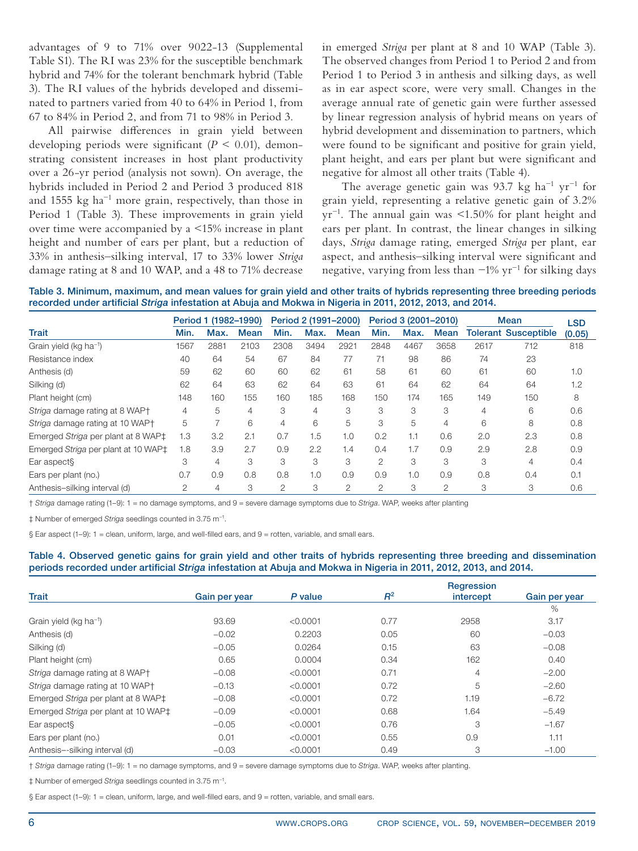advantages of 9 to 71% over 9022-13 (Supplemental Table S1). The RI was 23% for the susceptible benchmark hybrid and 74% for the tolerant benchmark hybrid (Table 3). The RI values of the hybrids developed and disseminated to partners varied from 40 to 64% in Period 1, from 67 to 84% in Period 2, and from 71 to 98% in Period 3.

All pairwise differences in grain yield between developing periods were significant (*P* < 0.01), demonstrating consistent increases in host plant productivity over a 26-yr period (analysis not sown). On average, the hybrids included in Period 2 and Period 3 produced 818 and 1555 kg ha−1 more grain, respectively, than those in Period 1 (Table 3). These improvements in grain yield over time were accompanied by a <15% increase in plant height and number of ears per plant, but a reduction of 33% in anthesis–silking interval, 17 to 33% lower *Striga* damage rating at 8 and 10 WAP, and a 48 to 71% decrease

in emerged *Striga* per plant at 8 and 10 WAP (Table 3). The observed changes from Period 1 to Period 2 and from Period 1 to Period 3 in anthesis and silking days, as well as in ear aspect score, were very small. Changes in the average annual rate of genetic gain were further assessed by linear regression analysis of hybrid means on years of hybrid development and dissemination to partners, which were found to be significant and positive for grain yield, plant height, and ears per plant but were significant and negative for almost all other traits (Table 4).

The average genetic gain was 93.7 kg ha<sup>-1</sup> yr<sup>-1</sup> for grain yield, representing a relative genetic gain of 3.2% yr−1. The annual gain was <1.50% for plant height and ears per plant. In contrast, the linear changes in silking days, *Striga* damage rating, emerged *Striga* per plant, ear aspect, and anthesis–silking interval were significant and negative, varying from less than −1% yr−1 for silking days

Table 3. Minimum, maximum, and mean values for grain yield and other traits of hybrids representing three breeding periods recorded under artificial *Striga* infestation at Abuja and Mokwa in Nigeria in 2011, 2012, 2013, and 2014.

|                                     |                | Period 1 (1982-1990) |             |      | Period 2 (1991-2000) |             |      | Period 3 (2001-2010) |             |      | <b>Mean</b>                 | <b>LSD</b> |
|-------------------------------------|----------------|----------------------|-------------|------|----------------------|-------------|------|----------------------|-------------|------|-----------------------------|------------|
| <b>Trait</b>                        | Min.           | Max.                 | <b>Mean</b> | Min. | Max.                 | <b>Mean</b> | Min. | Max.                 | <b>Mean</b> |      | <b>Tolerant Susceptible</b> | (0.05)     |
| Grain yield (kg ha <sup>-1</sup> )  | 1567           | 2881                 | 2103        | 2308 | 3494                 | 2921        | 2848 | 4467                 | 3658        | 2617 | 712                         | 818        |
| Resistance index                    | 40             | 64                   | 54          | 67   | 84                   | 77          | 71   | 98                   | 86          | 74   | 23                          |            |
| Anthesis (d)                        | 59             | 62                   | 60          | 60   | 62                   | 61          | 58   | 61                   | 60          | 61   | 60                          | 1.0        |
| Silking (d)                         | 62             | 64                   | 63          | 62   | 64                   | 63          | 61   | 64                   | 62          | 64   | 64                          | 1.2        |
| Plant height (cm)                   | 148            | 160                  | 155         | 160  | 185                  | 168         | 150  | 174                  | 165         | 149  | 150                         | 8          |
| Striga damage rating at 8 WAP+      | 4              | 5                    | 4           | 3    | 4                    | 3           | 3    | 3                    | 3           | 4    | 6                           | 0.6        |
| Striga damage rating at 10 WAP+     | 5              |                      | 6           | 4    | 6                    | 5           | 3    | 5                    | 4           | 6    | 8                           | 0.8        |
| Emerged Striga per plant at 8 WAP‡  | 1.3            | 3.2                  | 2.1         | 0.7  | 1.5                  | 1.0         | 0.2  | 1.1                  | 0.6         | 2.0  | 2.3                         | 0.8        |
| Emerged Striga per plant at 10 WAP‡ | 1.8            | 3.9                  | 2.7         | 0.9  | 2.2                  | 1.4         | 0.4  | 1.7                  | 0.9         | 2.9  | 2.8                         | 0.9        |
| Ear aspect§                         | 3              | 4                    | 3           | 3    | 3                    | 3           | 2    | 3                    | 3           | 3    | 4                           | 0.4        |
| Ears per plant (no.)                | 0.7            | 0.9                  | 0.8         | 0.8  | 1.0                  | 0.9         | 0.9  | 1.0                  | 0.9         | 0.8  | 0.4                         | 0.1        |
| Anthesis-silking interval (d)       | $\overline{2}$ | 4                    | 3           | 2    | 3                    | 2           | 2    | 3                    | 2           | 3    | 3                           | 0.6        |

† *Striga* damage rating (1–9): 1 = no damage symptoms, and 9 = severe damage symptoms due to *Striga*. WAP, weeks after planting

‡ Number of emerged *Striga* seedlings counted in 3.75 m−1.

§ Ear aspect (1–9): 1 = clean, uniform, large, and well-filled ears, and 9 = rotten, variable, and small ears.

#### Table 4. Observed genetic gains for grain yield and other traits of hybrids representing three breeding and dissemination periods recorded under artificial *Striga* infestation at Abuja and Mokwa in Nigeria in 2011, 2012, 2013, and 2014.

|                                     |               |          |       | Regression     |               |
|-------------------------------------|---------------|----------|-------|----------------|---------------|
| Trait                               | Gain per year | P value  | $R^2$ | intercept      | Gain per year |
|                                     |               |          |       |                | $\%$          |
| Grain yield (kg ha <sup>-1</sup> )  | 93.69         | < 0.0001 | 0.77  | 2958           | 3.17          |
| Anthesis (d)                        | $-0.02$       | 0.2203   | 0.05  | 60             | $-0.03$       |
| Silking (d)                         | $-0.05$       | 0.0264   | 0.15  | 63             | $-0.08$       |
| Plant height (cm)                   | 0.65          | 0.0004   | 0.34  | 162            | 0.40          |
| Striga damage rating at 8 WAP+      | $-0.08$       | < 0.0001 | 0.71  | $\overline{4}$ | $-2.00$       |
| Striga damage rating at 10 WAP+     | $-0.13$       | < 0.0001 | 0.72  | 5              | $-2.60$       |
| Emerged Striga per plant at 8 WAP‡  | $-0.08$       | < 0.0001 | 0.72  | 1.19           | $-6.72$       |
| Emerged Striga per plant at 10 WAP‡ | $-0.09$       | < 0.0001 | 0.68  | 1.64           | $-5.49$       |
| Ear aspect§                         | $-0.05$       | < 0.0001 | 0.76  | 3              | $-1.67$       |
| Ears per plant (no.)                | 0.01          | < 0.0001 | 0.55  | 0.9            | 1.11          |
| Anthesis--silking interval (d)      | $-0.03$       | < 0.0001 | 0.49  | 3              | $-1.00$       |

† *Striga* damage rating (1–9): 1 = no damage symptoms, and 9 = severe damage symptoms due to *Striga*. WAP, weeks after planting.

‡ Number of emerged *Striga* seedlings counted in 3.75 m−1.

§ Ear aspect (1-9): 1 = clean, uniform, large, and well-filled ears, and 9 = rotten, variable, and small ears.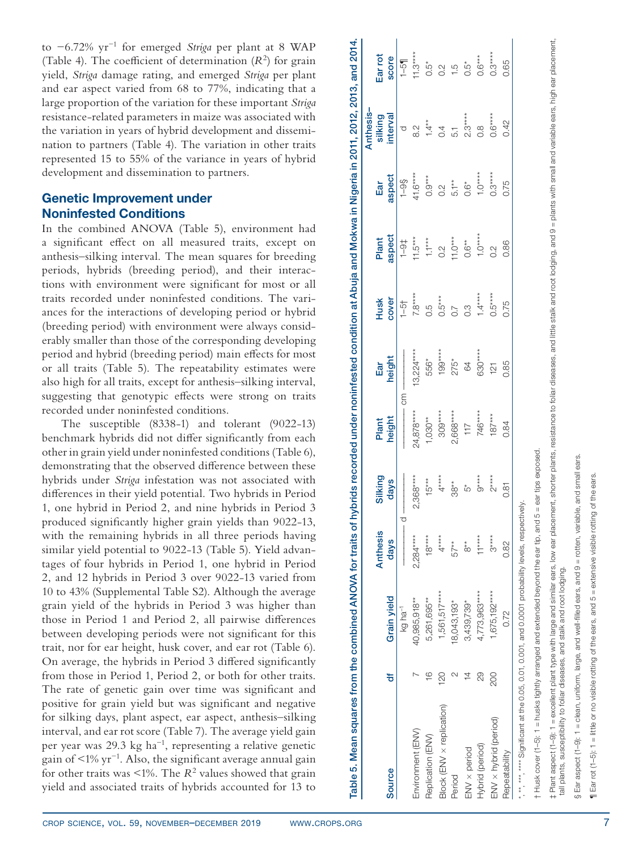to −6.72% yr−1 for emerged *Striga* per plant at 8 WAP (Table 4). The coefficient of determination  $(R^2)$  for grain yield, *Striga* damage rating, and emerged *Striga* per plant and ear aspect varied from 68 to 77%, indicating that a large proportion of the variation for these important *Striga* resistance-related parameters in maize was associated with the variation in years of hybrid development and dissemination to partners (Table 4). The variation in other traits represented 15 to 55% of the variance in years of hybrid development and dissemination to partners.

# Genetic Improvement under Noninfested Conditions

In the combined ANOVA (Table 5), environment had a significant effect on all measured traits, except on anthesis–silking interval. The mean squares for breeding periods, hybrids (breeding period), and their interactions with environment were significant for most or all traits recorded under noninfested conditions. The variances for the interactions of developing period or hybrid (breeding period) with environment were always considerably smaller than those of the corresponding developing period and hybrid (breeding period) main effects for most or all traits (Table 5). The repeatability estimates were also high for all traits, except for anthesis–silking interval, suggesting that genotypic effects were strong on traits recorded under noninfested conditions.

The susceptible (8338-1) and tolerant (9022-13) benchmark hybrids did not differ significantly from each other in grain yield under noninfested conditions (Table 6), demonstrating that the observed difference between these hybrids under *Striga* infestation was not associated with differences in their yield potential. Two hybrids in Period 1, one hybrid in Period 2, and nine hybrids in Period 3 produced significantly higher grain yields than 9022-13, with the remaining hybrids in all three periods having similar yield potential to 9022-13 (Table 5). Yield advantages of four hybrids in Period 1, one hybrid in Period 2, and 12 hybrids in Period 3 over 9022-13 varied from 10 to 43% (Supplemental Table S2). Although the average grain yield of the hybrids in Period 3 was higher than those in Period 1 and Period 2, all pairwise differences between developing periods were not significant for this trait, nor for ear height, husk cover, and ear rot (Table 6). On average, the hybrids in Period 3 differed significantly from those in Period 1, Period 2, or both for other traits. The rate of genetic gain over time was significant and positive for grain yield but was significant and negative for silking days, plant aspect, ear aspect, anthesis–silking interval, and ear rot score (Table 7). The average yield gain per year was 29.3 kg ha−1, representing a relative genetic gain of <1% yr−1. Also, the significant average annual gain for other traits was  $\leq 1\%$ . The  $R^2$  values showed that grain yield and associated traits of hybrids accounted for 13 to

|                                 |     |                     |            |                    |                  |             |                  |                 |                                                    | Anthesis-      |                |
|---------------------------------|-----|---------------------|------------|--------------------|------------------|-------------|------------------|-----------------|----------------------------------------------------|----------------|----------------|
|                                 |     |                     | Anthesis   | Silking            | Plant            | Ear         | Husk             | Plant           | Ear                                                | silking        | Ear rot        |
| Source                          | ₹   | <b>Grain yield</b>  | days       | days               | height           | height      | cover            | aspect          | aspect                                             | interval       | score          |
|                                 |     | kg ha <sup>-1</sup> |            | $\frac{1}{\sigma}$ | m<br>S           |             | $1 - 5 +$        | $+9+$           | $1 - 98$                                           | ℧              |                |
| Environment (ENV)               |     | 40,985,918**        | $2,284***$ | 368****            | 24,878****       | $13,224***$ | $7.8***$         | $11.5***$       | $41.6***$<br>0.9***                                | $\frac{2}{8}$  | $1 - 5$        |
| Replication (ENV)               |     | 5,261,695**         | $18***$    | $15***$            | 1,030**          | 556*        | 0.5              | $1.1***$        |                                                    | $1.4**$        | $0.5*$         |
| Block (ENV x replication)       | 120 | $1,561,517***$      | $A***$     |                    | $309***$         | $199***$    | $0.5***$         | $0.2$<br>11.0** | $\begin{array}{c}\n0.2 \\ 0.5 \\ 0.0\n\end{array}$ | $\overline{O}$ | 0.2            |
| Period                          |     | 18,043,193*         | 57**       | $4***$<br>38*      | $2,668***$       | $275*$      | 0.7              |                 |                                                    | 5.1            | $\frac{10}{1}$ |
| $E$ NV $\times$ period          |     | 3,439,739*          | $\alpha^*$ | ιĥ                 | $\overline{117}$ | 84          | $0.\overline{3}$ | $0.6**$         |                                                    | $2.3***$       | $0.5*$         |
| Hybrid (period)                 | 29  | 4,773,963****       | $11***$    | $\Theta^{***}$     | 746*****         | 630****     | $1.4***$         | $1.0***$        | $1.0***$                                           | $\frac{8}{2}$  | $0.6***$       |
| $E$ NV $\times$ hybrid (period) | 200 | $1,675,192***$      | $3***$     | $2***$             | $187***$         | 121         | $0.5***$         | 0.2             | $0.3***$                                           | $0.6***$       | $0.3***$       |
| Repeatability                   |     | 0.72                | 0.82       | 0.81               | 0.84             | 0.85        | 0.75             | 0.86            | 0.75                                               | 0.42           | 0.65           |

t Husk cover (1-5): 1 = husks tightly arranged and extended beyond the ear tip, and 5 = ear tips exposed. † Husk cover (1–5): 1 = husks tightly arranged and extended beyond the ear tip, and 5 = ear tips exposed.

t Plant type with large and similar ears, low ear placement, shorter plants, resistance to foliar diseases, and will estalk and root lodging, and 9 = plants with small and variable ears, high ear placement, ‡ Plant aspect (1–9): 1 = excellent plant type with large and similar ears, low ear placement, shorter plants, resistance to foliar diseases, and little stalk and root lodging, and 9 = plants with small and variable ears, tall plants, susceptibility to foliar diseases, and stalk and root lodging.

§ Ear aspect (1-9): 1 = clean, uniform, large, and well-filled ears, and 9 = rotten, variable, and small ears. § Ear aspect (1–9): 1 = clean, uniform, large, and well-filled ears, and 9 = rotten, variable, and small ears.

Ear rot (1-5): 1 = little or no visible rotting of the ears, and  $5$  = extensive visible rotting of the ears. ¶ Ear rot (1–5): 1 = little or no visible rotting of the ears, and 5 = extensive visible rotting of the ears.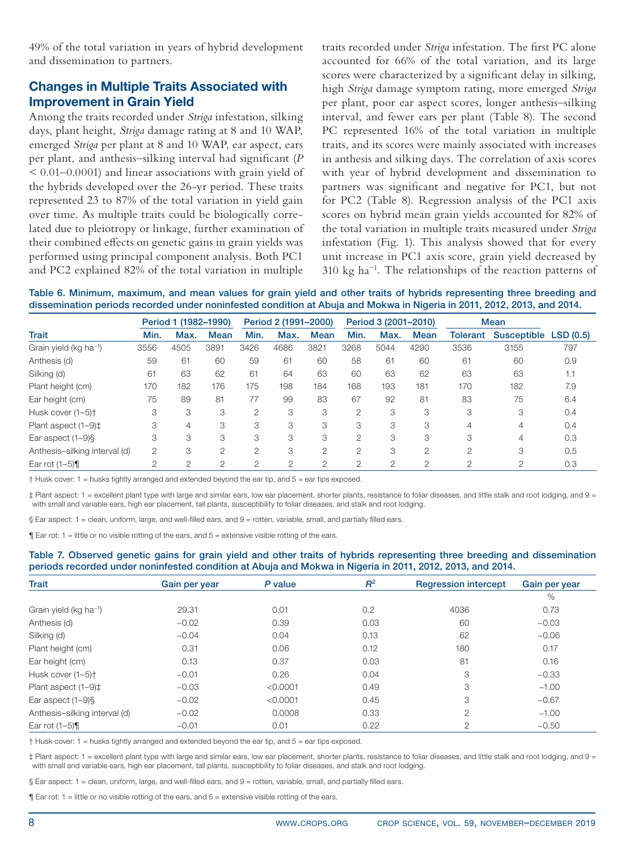49% of the total variation in years of hybrid development and dissemination to partners.

# Changes in Multiple Traits Associated with Improvement in Grain Yield

Among the traits recorded under *Striga* infestation, silking days, plant height, *Striga* damage rating at 8 and 10 WAP, emerged *Striga* per plant at 8 and 10 WAP, ear aspect, ears per plant, and anthesis–silking interval had significant (*P* < 0.01–0.0001) and linear associations with grain yield of the hybrids developed over the 26-yr period. These traits represented 23 to 87% of the total variation in yield gain over time. As multiple traits could be biologically correlated due to pleiotropy or linkage, further examination of their combined effects on genetic gains in grain yields was performed using principal component analysis. Both PC1 and PC2 explained 82% of the total variation in multiple

traits recorded under *Striga* infestation. The first PC alone accounted for 66% of the total variation, and its large scores were characterized by a significant delay in silking, high *Striga* damage symptom rating, more emerged *Striga* per plant, poor ear aspect scores, longer anthesis–silking interval, and fewer ears per plant (Table 8). The second PC represented 16% of the total variation in multiple traits, and its scores were mainly associated with increases in anthesis and silking days. The correlation of axis scores with year of hybrid development and dissemination to partners was significant and negative for PC1, but not for PC2 (Table 8). Regression analysis of the PC1 axis scores on hybrid mean grain yields accounted for 82% of the total variation in multiple traits measured under *Striga* infestation (Fig. 1). This analysis showed that for every unit increase in PC1 axis score, grain yield decreased by 310 kg ha−1. The relationships of the reaction patterns of

Table 6. Minimum, maximum, and mean values for grain yield and other traits of hybrids representing three breeding and dissemination periods recorded under noninfested condition at Abuja and Mokwa in Nigeria in 2011, 2012, 2013, and 2014.

|                                    |      | Period 1 (1982-1990) |                |      | Period 2 (1991-2000) |      |                | Period 3 (2001-2010) |                |                | <b>Mean</b>        |          |
|------------------------------------|------|----------------------|----------------|------|----------------------|------|----------------|----------------------|----------------|----------------|--------------------|----------|
| <b>Trait</b>                       | Min. | Max.                 | <b>Mean</b>    | Min. | Max.                 | Mean | Min.           | Max.                 | <b>Mean</b>    | Tolerant       | <b>Susceptible</b> | LSD(0.5) |
| Grain yield (kg ha <sup>-1</sup> ) | 3556 | 4505                 | 3891           | 3426 | 4686                 | 3821 | 3268           | 5044                 | 4290           | 3536           | 3155               | 797      |
| Anthesis (d)                       | 59   | 61                   | 60             | 59   | 61                   | 60   | 58             | 61                   | 60             | 61             | 60                 | 0.9      |
| Silking (d)                        | 61   | 63                   | 62             | 61   | 64                   | 63   | 60             | 63                   | 62             | 63             | 63                 | 1.1      |
| Plant height (cm)                  | 170  | 182                  | 176            | 175  | 198                  | 184  | 168            | 193                  | 181            | 170            | 182                | 7.9      |
| Ear height (cm)                    | 75   | 89                   | 81             | 77   | 99                   | 83   | 67             | 92                   | 81             | 83             | 75                 | 6.4      |
| Husk cover (1-5) <sup>+</sup>      | 3    | 3                    | 3              | 2    | 3                    | 3    | $\mathfrak{D}$ | 3                    | 3              | 3              | 3                  | 0.4      |
| Plant aspect (1-9)‡                | 3    | 4                    | 3              | 3    | 3                    | 3    | 3              | 3                    | 3              | 4              | 4                  | 0.4      |
| Ear aspect $(1-9)$ §               | 3    | 3                    | 3              | 3    | 3                    | 3    | $\mathcal{P}$  | 3                    | 3              | 3              | 4                  | 0.3      |
| Anthesis-silking interval (d)      | 2    | 3                    | 2              | 2    | 3                    | 2    | $\overline{2}$ | 3                    | $\overline{2}$ | $\overline{2}$ | 3                  | 0.5      |
| Ear rot $(1-5)$                    | 2    | $\overline{2}$       | $\overline{2}$ | 2    | $\overline{2}$       | 2    | $\overline{2}$ | 2                    | $\overline{2}$ | $\overline{2}$ | 2                  | 0.3      |

† Husk cover: 1 = husks tightly arranged and extended beyond the ear tip, and 5 = ear tips exposed.

‡ Plant aspect: 1 = excellent plant type with large and similar ears, low ear placement, shorter plants, resistance to foliar diseases, and little stalk and root lodging, and 9 = with small and variable ears, high ear placement, tall plants, susceptibility to foliar diseases, and stalk and root lodging.

§ Ear aspect: 1 = clean, uniform, large, and well-filled ears, and 9 = rotten, variable, small, and partially filled ears.

 $\P$  Ear rot: 1 = little or no visible rotting of the ears, and  $5$  = extensive visible rotting of the ears.

#### Table 7. Observed genetic gains for grain yield and other traits of hybrids representing three breeding and dissemination periods recorded under noninfested condition at Abuja and Mokwa in Nigeria in 2011, 2012, 2013, and 2014.

| <b>Trait</b>                       | Gain per year | P value  | $R^2$ | <b>Regression intercept</b> | Gain per year |
|------------------------------------|---------------|----------|-------|-----------------------------|---------------|
|                                    |               |          |       |                             | %             |
| Grain yield (kg ha <sup>-1</sup> ) | 29.31         | 0.01     | 0.2   | 4036                        | 0.73          |
| Anthesis (d)                       | $-0.02$       | 0.39     | 0.03  | 60                          | $-0.03$       |
| Silking (d)                        | $-0.04$       | 0.04     | 0.13  | 62                          | $-0.06$       |
| Plant height (cm)                  | 0.31          | 0.06     | 0.12  | 180                         | 0.17          |
| Ear height (cm)                    | 0.13          | 0.37     | 0.03  | 81                          | 0.16          |
| Husk cover (1-5) <sup>+</sup>      | $-0.01$       | 0.26     | 0.04  | 3                           | $-0.33$       |
| Plant aspect $(1-9)$ ‡             | $-0.03$       | < 0.0001 | 0.49  | 3                           | $-1.00$       |
| Ear aspect $(1-9)$ §               | $-0.02$       | < 0.0001 | 0.45  | 3                           | $-0.67$       |
| Anthesis-silking interval (d)      | $-0.02$       | 0.0008   | 0.33  | 2                           | $-1.00$       |
| Ear rot $(1-5)$                    | $-0.01$       | 0.01     | 0.22  | 2                           | $-0.50$       |

† Husk cover: 1 = husks tightly arranged and extended beyond the ear tip, and 5 = ear tips exposed.

‡ Plant aspect: 1 = excellent plant type with large and similar ears, low ear placement, shorter plants, resistance to foliar diseases, and little stalk and root lodging, and 9 = with small and variable ears, high ear placement, tall plants, susceptibility to foliar diseases, and stalk and root lodging.

§ Ear aspect: 1 = clean, uniform, large, and well-filled ears, and 9 = rotten, variable, small, and partially filled ears.

 $\P$  Ear rot: 1 = little or no visible rotting of the ears, and 5 = extensive visible rotting of the ears.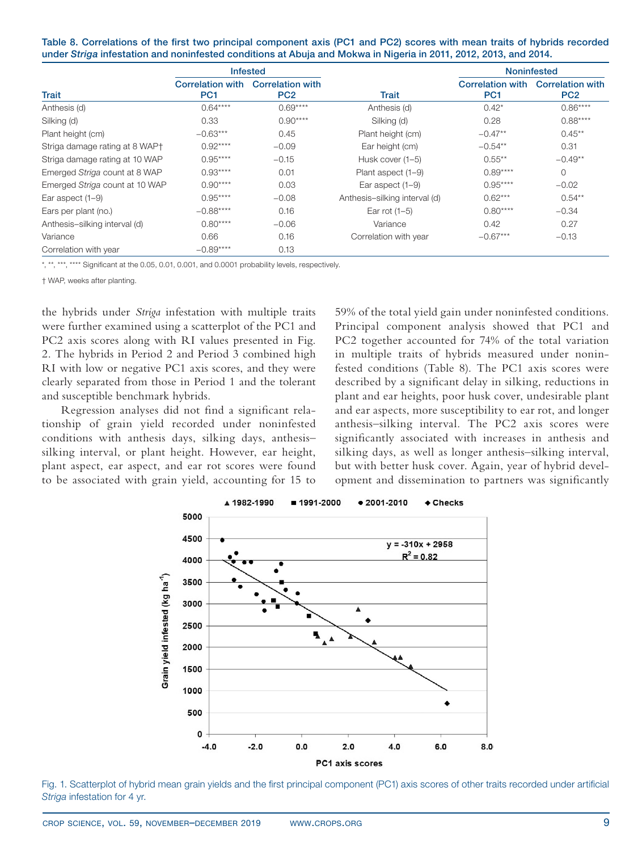Table 8. Correlations of the first two principal component axis (PC1 and PC2) scores with mean traits of hybrids recorded under *Striga* infestation and noninfested conditions at Abuja and Mokwa in Nigeria in 2011, 2012, 2013, and 2014.

|                                |                                            | <b>Infested</b>                            |                               |                                            | <b>Noninfested</b>                         |
|--------------------------------|--------------------------------------------|--------------------------------------------|-------------------------------|--------------------------------------------|--------------------------------------------|
| Trait                          | <b>Correlation with</b><br>PC <sub>1</sub> | <b>Correlation with</b><br>PC <sub>2</sub> | <b>Trait</b>                  | <b>Correlation with</b><br>PC <sub>1</sub> | <b>Correlation with</b><br>PC <sub>2</sub> |
| Anthesis (d)                   | $0.64***$                                  | $0.69***$                                  | Anthesis (d)                  | $0.42*$                                    | $0.86***$                                  |
| Silking (d)                    | 0.33                                       | $0.90***$                                  | Silking (d)                   | 0.28                                       | $0.88***$                                  |
| Plant height (cm)              | $-0.63***$                                 | 0.45                                       | Plant height (cm)             | $-0.47**$                                  | $0.45**$                                   |
| Striga damage rating at 8 WAP+ | $0.92***$                                  | $-0.09$                                    | Ear height (cm)               | $-0.54**$                                  | 0.31                                       |
| Striga damage rating at 10 WAP | $0.95***$                                  | $-0.15$                                    | Husk cover (1-5)              | $0.55***$                                  | $-0.49**$                                  |
| Emerged Striga count at 8 WAP  | $0.93***$                                  | 0.01                                       | Plant aspect (1-9)            | $0.89***$                                  | $\Omega$                                   |
| Emerged Striga count at 10 WAP | $0.90***$                                  | 0.03                                       | Ear aspect (1-9)              | $0.95***$                                  | $-0.02$                                    |
| Ear aspect (1-9)               | $0.95***$                                  | $-0.08$                                    | Anthesis-silking interval (d) | $0.62***$                                  | $0.54***$                                  |
| Ears per plant (no.)           | $-0.88***$                                 | 0.16                                       | Ear rot $(1-5)$               | $0.80***$                                  | $-0.34$                                    |
| Anthesis-silking interval (d)  | $0.80***$                                  | $-0.06$                                    | Variance                      | 0.42                                       | 0.27                                       |
| Variance                       | 0.66                                       | 0.16                                       | Correlation with year         | $-0.67***$                                 | $-0.13$                                    |
| Correlation with year          | $-0.89***$                                 | 0.13                                       |                               |                                            |                                            |

\*, \*\*, \*\*\*, \*\*\*\* Significant at the 0.05, 0.01, 0.001, and 0.0001 probability levels, respectively.

† WAP, weeks after planting.

the hybrids under *Striga* infestation with multiple traits were further examined using a scatterplot of the PC1 and PC2 axis scores along with RI values presented in Fig. 2. The hybrids in Period 2 and Period 3 combined high RI with low or negative PC1 axis scores, and they were clearly separated from those in Period 1 and the tolerant and susceptible benchmark hybrids.

Regression analyses did not find a significant relationship of grain yield recorded under noninfested conditions with anthesis days, silking days, anthesis– silking interval, or plant height. However, ear height, plant aspect, ear aspect, and ear rot scores were found to be associated with grain yield, accounting for 15 to

59% of the total yield gain under noninfested conditions. Principal component analysis showed that PC1 and PC2 together accounted for 74% of the total variation in multiple traits of hybrids measured under noninfested conditions (Table 8). The PC1 axis scores were described by a significant delay in silking, reductions in plant and ear heights, poor husk cover, undesirable plant and ear aspects, more susceptibility to ear rot, and longer anthesis–silking interval. The PC2 axis scores were significantly associated with increases in anthesis and silking days, as well as longer anthesis–silking interval, but with better husk cover. Again, year of hybrid development and dissemination to partners was significantly



Fig. 1. Scatterplot of hybrid mean grain yields and the first principal component (PC1) axis scores of other traits recorded under artificial *Striga* infestation for 4 yr.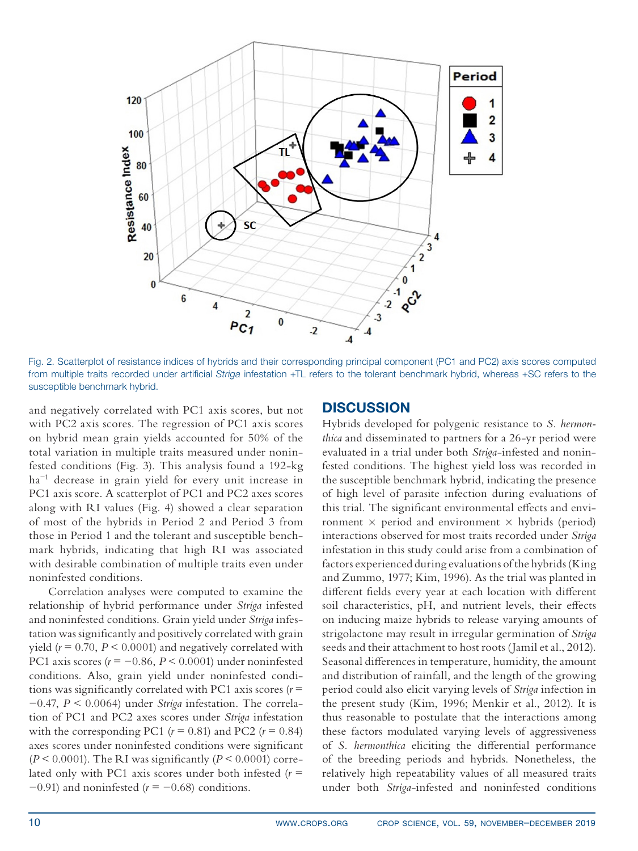

Fig. 2. Scatterplot of resistance indices of hybrids and their corresponding principal component (PC1 and PC2) axis scores computed from multiple traits recorded under artificial *Striga* infestation +TL refers to the tolerant benchmark hybrid, whereas +SC refers to the susceptible benchmark hybrid.

and negatively correlated with PC1 axis scores, but not with PC2 axis scores. The regression of PC1 axis scores on hybrid mean grain yields accounted for 50% of the total variation in multiple traits measured under noninfested conditions (Fig. 3). This analysis found a 192-kg ha<sup>-1</sup> decrease in grain yield for every unit increase in PC1 axis score. A scatterplot of PC1 and PC2 axes scores along with RI values (Fig. 4) showed a clear separation of most of the hybrids in Period 2 and Period 3 from those in Period 1 and the tolerant and susceptible benchmark hybrids, indicating that high RI was associated with desirable combination of multiple traits even under noninfested conditions.

Correlation analyses were computed to examine the relationship of hybrid performance under *Striga* infested and noninfested conditions. Grain yield under *Striga* infestation was significantly and positively correlated with grain yield  $(r = 0.70, P \le 0.0001)$  and negatively correlated with PC1 axis scores (*r* = −0.86, *P* < 0.0001) under noninfested conditions. Also, grain yield under noninfested conditions was significantly correlated with PC1 axis scores (*r* = −0.47, *P* < 0.0064) under *Striga* infestation. The correlation of PC1 and PC2 axes scores under *Striga* infestation with the corresponding PC1 ( $r = 0.81$ ) and PC2 ( $r = 0.84$ ) axes scores under noninfested conditions were significant ( $P < 0.0001$ ). The RI was significantly ( $P < 0.0001$ ) correlated only with PC1 axis scores under both infested (*r* =  $-0.91$ ) and noninfested ( $r = -0.68$ ) conditions.

# **DISCUSSION**

Hybrids developed for polygenic resistance to *S. hermonthica* and disseminated to partners for a 26-yr period were evaluated in a trial under both *Striga*-infested and noninfested conditions. The highest yield loss was recorded in the susceptible benchmark hybrid, indicating the presence of high level of parasite infection during evaluations of this trial. The significant environmental effects and environment  $\times$  period and environment  $\times$  hybrids (period) interactions observed for most traits recorded under *Striga* infestation in this study could arise from a combination of factors experienced during evaluations of the hybrids (King and Zummo, 1977; Kim, 1996). As the trial was planted in different fields every year at each location with different soil characteristics, pH, and nutrient levels, their effects on inducing maize hybrids to release varying amounts of strigolactone may result in irregular germination of *Striga* seeds and their attachment to host roots (Jamil et al., 2012). Seasonal differences in temperature, humidity, the amount and distribution of rainfall, and the length of the growing period could also elicit varying levels of *Striga* infection in the present study (Kim, 1996; Menkir et al., 2012). It is thus reasonable to postulate that the interactions among these factors modulated varying levels of aggressiveness of *S. hermonthica* eliciting the differential performance of the breeding periods and hybrids. Nonetheless, the relatively high repeatability values of all measured traits under both *Striga*-infested and noninfested conditions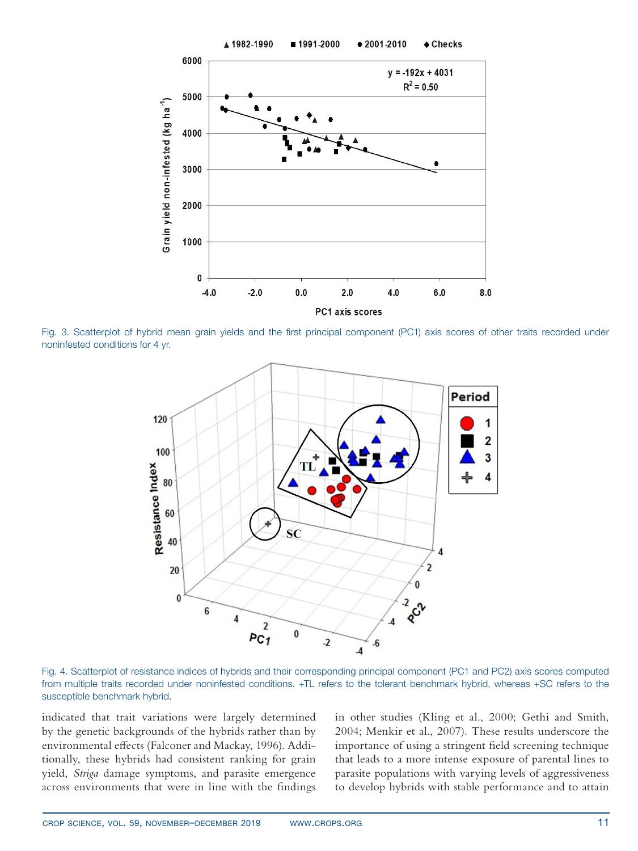

Fig. 3. Scatterplot of hybrid mean grain yields and the first principal component (PC1) axis scores of other traits recorded under noninfested conditions for 4 yr.



Fig. 4. Scatterplot of resistance indices of hybrids and their corresponding principal component (PC1 and PC2) axis scores computed from multiple traits recorded under noninfested conditions. +TL refers to the tolerant benchmark hybrid, whereas +SC refers to the susceptible benchmark hybrid.

indicated that trait variations were largely determined by the genetic backgrounds of the hybrids rather than by environmental effects (Falconer and Mackay, 1996). Additionally, these hybrids had consistent ranking for grain yield, *Striga* damage symptoms, and parasite emergence across environments that were in line with the findings

in other studies (Kling et al., 2000; Gethi and Smith, 2004; Menkir et al., 2007). These results underscore the importance of using a stringent field screening technique that leads to a more intense exposure of parental lines to parasite populations with varying levels of aggressiveness to develop hybrids with stable performance and to attain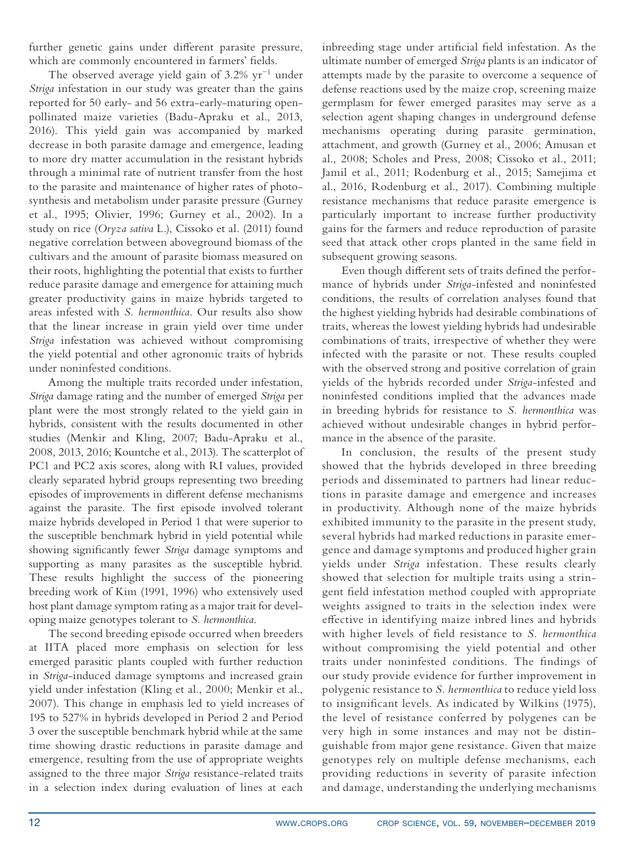further genetic gains under different parasite pressure, which are commonly encountered in farmers' fields.

The observed average yield gain of 3.2% yr<sup>-1</sup> under *Striga* infestation in our study was greater than the gains reported for 50 early- and 56 extra-early-maturing openpollinated maize varieties (Badu-Apraku et al., 2013, 2016). This yield gain was accompanied by marked decrease in both parasite damage and emergence, leading to more dry matter accumulation in the resistant hybrids through a minimal rate of nutrient transfer from the host to the parasite and maintenance of higher rates of photosynthesis and metabolism under parasite pressure (Gurney et al., 1995; Olivier, 1996; Gurney et al., 2002). In a study on rice (*Oryza sativa* L.), Cissoko et al. (2011) found negative correlation between aboveground biomass of the cultivars and the amount of parasite biomass measured on their roots, highlighting the potential that exists to further reduce parasite damage and emergence for attaining much greater productivity gains in maize hybrids targeted to areas infested with *S. hermonthica*. Our results also show that the linear increase in grain yield over time under *Striga* infestation was achieved without compromising the yield potential and other agronomic traits of hybrids under noninfested conditions.

Among the multiple traits recorded under infestation, *Striga* damage rating and the number of emerged *Striga* per plant were the most strongly related to the yield gain in hybrids, consistent with the results documented in other studies (Menkir and Kling, 2007; Badu-Apraku et al., 2008, 2013, 2016; Kountche et al., 2013). The scatterplot of PC1 and PC2 axis scores, along with RI values, provided clearly separated hybrid groups representing two breeding episodes of improvements in different defense mechanisms against the parasite. The first episode involved tolerant maize hybrids developed in Period 1 that were superior to the susceptible benchmark hybrid in yield potential while showing significantly fewer *Striga* damage symptoms and supporting as many parasites as the susceptible hybrid. These results highlight the success of the pioneering breeding work of Kim (1991, 1996) who extensively used host plant damage symptom rating as a major trait for developing maize genotypes tolerant to *S. hermonthica*.

The second breeding episode occurred when breeders at IITA placed more emphasis on selection for less emerged parasitic plants coupled with further reduction in *Striga*-induced damage symptoms and increased grain yield under infestation (Kling et al., 2000; Menkir et al., 2007). This change in emphasis led to yield increases of 195 to 527% in hybrids developed in Period 2 and Period 3 over the susceptible benchmark hybrid while at the same time showing drastic reductions in parasite damage and emergence, resulting from the use of appropriate weights assigned to the three major *Striga* resistance-related traits in a selection index during evaluation of lines at each

inbreeding stage under artificial field infestation. As the ultimate number of emerged *Striga* plants is an indicator of attempts made by the parasite to overcome a sequence of defense reactions used by the maize crop, screening maize germplasm for fewer emerged parasites may serve as a selection agent shaping changes in underground defense mechanisms operating during parasite germination, attachment, and growth (Gurney et al., 2006; Amusan et al., 2008; Scholes and Press, 2008; Cissoko et al., 2011; Jamil et al., 2011; Rodenburg et al., 2015; Samejima et al., 2016, Rodenburg et al., 2017). Combining multiple resistance mechanisms that reduce parasite emergence is particularly important to increase further productivity gains for the farmers and reduce reproduction of parasite seed that attack other crops planted in the same field in subsequent growing seasons.

Even though different sets of traits defined the performance of hybrids under *Striga*-infested and noninfested conditions, the results of correlation analyses found that the highest yielding hybrids had desirable combinations of traits, whereas the lowest yielding hybrids had undesirable combinations of traits, irrespective of whether they were infected with the parasite or not. These results coupled with the observed strong and positive correlation of grain yields of the hybrids recorded under *Striga*-infested and noninfested conditions implied that the advances made in breeding hybrids for resistance to *S. hermonthica* was achieved without undesirable changes in hybrid performance in the absence of the parasite.

In conclusion, the results of the present study showed that the hybrids developed in three breeding periods and disseminated to partners had linear reductions in parasite damage and emergence and increases in productivity. Although none of the maize hybrids exhibited immunity to the parasite in the present study, several hybrids had marked reductions in parasite emergence and damage symptoms and produced higher grain yields under *Striga* infestation. These results clearly showed that selection for multiple traits using a stringent field infestation method coupled with appropriate weights assigned to traits in the selection index were effective in identifying maize inbred lines and hybrids with higher levels of field resistance to *S. hermonthica* without compromising the yield potential and other traits under noninfested conditions. The findings of our study provide evidence for further improvement in polygenic resistance to *S. hermonthica* to reduce yield loss to insignificant levels. As indicated by Wilkins (1975), the level of resistance conferred by polygenes can be very high in some instances and may not be distinguishable from major gene resistance. Given that maize genotypes rely on multiple defense mechanisms, each providing reductions in severity of parasite infection and damage, understanding the underlying mechanisms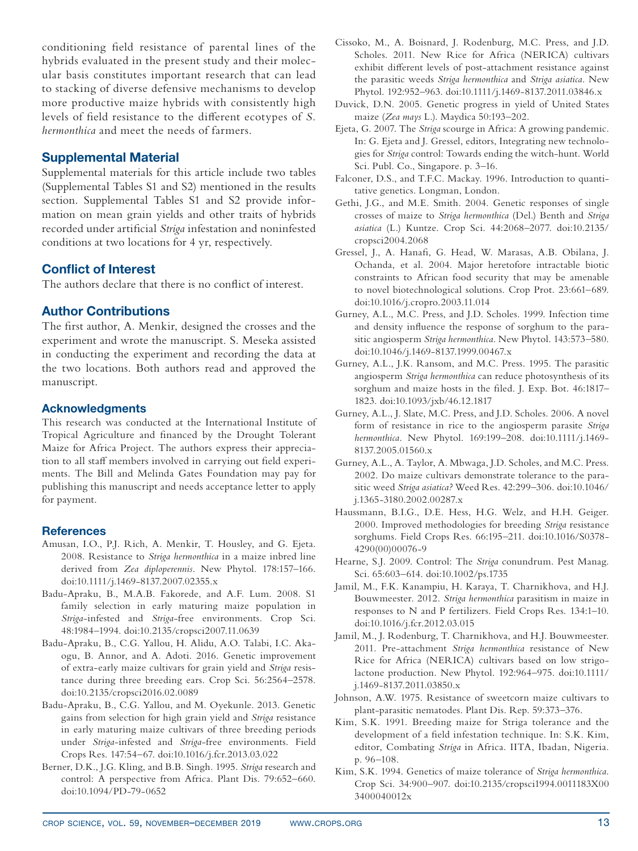conditioning field resistance of parental lines of the hybrids evaluated in the present study and their molecular basis constitutes important research that can lead to stacking of diverse defensive mechanisms to develop more productive maize hybrids with consistently high levels of field resistance to the different ecotypes of *S. hermonthica* and meet the needs of farmers.

### Supplemental Material

Supplemental materials for this article include two tables (Supplemental Tables S1 and S2) mentioned in the results section. Supplemental Tables S1 and S2 provide information on mean grain yields and other traits of hybrids recorded under artificial *Striga* infestation and noninfested conditions at two locations for 4 yr, respectively.

#### Conflict of Interest

The authors declare that there is no conflict of interest.

#### Author Contributions

The first author, A. Menkir, designed the crosses and the experiment and wrote the manuscript. S. Meseka assisted in conducting the experiment and recording the data at the two locations. Both authors read and approved the manuscript.

#### Acknowledgments

This research was conducted at the International Institute of Tropical Agriculture and financed by the Drought Tolerant Maize for Africa Project. The authors express their appreciation to all staff members involved in carrying out field experiments. The Bill and Melinda Gates Foundation may pay for publishing this manuscript and needs acceptance letter to apply for payment.

#### **References**

- Amusan, I.O., P.J. Rich, A. Menkir, T. Housley, and G. Ejeta. 2008. Resistance to *Striga hermonthica* in a maize inbred line derived from *Zea diploperennis*. New Phytol. 178:157–166. [doi:10.1111/j.1469-8137.2007.02355.x](https://doi.org/10.1111/j.1469-8137.2007.02355.x)
- Badu-Apraku, B., M.A.B. Fakorede, and A.F. Lum. 2008. S1 family selection in early maturing maize population in *Striga*-infested and *Striga*-free environments. Crop Sci. 48:1984–1994. [doi:10.2135/cropsci2007.11.0639](https://doi.org/10.2135/cropsci2007.11.0639)
- Badu-Apraku, B., C.G. Yallou, H. Alidu, A.O. Talabi, I.C. Akaogu, B. Annor, and A. Adoti. 2016. Genetic improvement of extra-early maize cultivars for grain yield and *Striga* resistance during three breeding ears. Crop Sci. 56:2564–2578. [doi:10.2135/cropsci2016.02.0089](https://doi.org/10.2135/cropsci2016.02.0089)
- Badu-Apraku, B., C.G. Yallou, and M. Oyekunle. 2013. Genetic gains from selection for high grain yield and *Striga* resistance in early maturing maize cultivars of three breeding periods under *Striga*-infested and *Striga*-free environments. Field Crops Res. 147:54–67. [doi:10.1016/j.fcr.2013.03.022](https://doi.org/10.1016/j.fcr.2013.03.022)
- Berner, D.K., J.G. Kling, and B.B. Singh. 1995. *Striga* research and control: A perspective from Africa. Plant Dis. 79:652–660. [doi:10.1094/PD-79-0652](https://doi.org/10.1094/PD-79-0652)
- Cissoko, M., A. Boisnard, J. Rodenburg, M.C. Press, and J.D. Scholes. 2011. New Rice for Africa (NERICA) cultivars exhibit different levels of post-attachment resistance against the parasitic weeds *Striga hermonthica* and *Striga asiatica*. New Phytol. 192:952–963. [doi:10.1111/j.1469-8137.2011.03846.x](https://doi.org/10.1111/j.1469-8137.2011.03846.x)
- Duvick, D.N. 2005. Genetic progress in yield of United States maize (*Zea mays* L.). Maydica 50:193–202.
- Ejeta, G. 2007. The *Striga* scourge in Africa: A growing pandemic. In: G. Ejeta and J. Gressel, editors, Integrating new technologies for *Striga* control: Towards ending the witch-hunt. World Sci. Publ. Co., Singapore. p. 3–16.
- Falconer, D.S., and T.F.C. Mackay. 1996. Introduction to quantitative genetics. Longman, London.
- Gethi, J.G., and M.E. Smith. 2004. Genetic responses of single crosses of maize to *Striga hermonthica* (Del.) Benth and *Striga asiatica* (L.) Kuntze. Crop Sci. 44:2068–2077. [doi:10.2135/](https://doi.org/10.2135/cropsci2004.2068) [cropsci2004.2068](https://doi.org/10.2135/cropsci2004.2068)
- Gressel, J., A. Hanafi, G. Head, W. Marasas, A.B. Obilana, J. Ochanda, et al. 2004. Major heretofore intractable biotic constraints to African food security that may be amenable to novel biotechnological solutions. Crop Prot. 23:661–689. [doi:10.1016/j.cropro.2003.11.014](https://doi.org/10.1016/j.cropro.2003.11.014)
- Gurney, A.L., M.C. Press, and J.D. Scholes. 1999. Infection time and density influence the response of sorghum to the parasitic angiosperm *Striga hermonthica*. New Phytol. 143:573–580. [doi:10.1046/j.1469-8137.1999.00467.x](https://doi.org/10.1046/j.1469-8137.1999.00467.x)
- Gurney, A.L., J.K. Ransom, and M.C. Press. 1995. The parasitic angiosperm *Striga hermonthica* can reduce photosynthesis of its sorghum and maize hosts in the filed. J. Exp. Bot. 46:1817– 1823. [doi:10.1093/jxb/46.12.1817](https://doi.org/10.1093/jxb/46.12.1817)
- Gurney, A.L., J. Slate, M.C. Press, and J.D. Scholes. 2006. A novel form of resistance in rice to the angiosperm parasite *Striga hermonthica*. New Phytol. 169:199–208. [doi:10.1111/j.1469-](https://dx.doi.org/10.1111/j.1469-8137.2005.01560.x) [8137.2005.01560.x](https://dx.doi.org/10.1111/j.1469-8137.2005.01560.x)
- Gurney, A.L., A. Taylor, A. Mbwaga, J.D. Scholes, and M.C. Press. 2002. Do maize cultivars demonstrate tolerance to the parasitic weed *Striga asiatica?* Weed Res. 42:299–306. [doi:10.1046/](https://doi.org/10.1046/j.1365-3180.2002.00287.x) [j.1365-3180.2002.00287.x](https://doi.org/10.1046/j.1365-3180.2002.00287.x)
- Haussmann, B.I.G., D.E. Hess, H.G. Welz, and H.H. Geiger. 2000. Improved methodologies for breeding *Striga* resistance sorghums. Field Crops Res. 66:195–211. [doi:10.1016/S0378-](https://doi.org/10.1016/S0378-4290(00)00076-9) [4290\(00\)00076-9](https://doi.org/10.1016/S0378-4290(00)00076-9)
- Hearne, S.J. 2009. Control: The *Striga* conundrum. Pest Manag. Sci. 65:603–614. [doi:10.1002/ps.1735](https://doi.org/10.1002/ps.1735)
- Jamil, M., F.K. Kanampiu, H. Karaya, T. Charnikhova, and H.J. Bouwmeester. 2012. *Striga hermonthica* parasitism in maize in responses to N and P fertilizers. Field Crops Res. 134:1–10. [doi:10.1016/j.fcr.2012.03.015](https://doi.org/10.1016/j.fcr.2012.03.015)
- Jamil, M., J. Rodenburg, T. Charnikhova, and H.J. Bouwmeester. 2011. Pre-attachment *Striga hermonthica* resistance of New Rice for Africa (NERICA) cultivars based on low strigolactone production. New Phytol. 192:964–975. [doi:10.1111/](https://doi.org/10.1111/j.1469-8137.2011.03850.x) [j.1469-8137.2011.03850.x](https://doi.org/10.1111/j.1469-8137.2011.03850.x)
- Johnson, A.W. 1975. Resistance of sweetcorn maize cultivars to plant-parasitic nematodes. Plant Dis. Rep. 59:373–376.
- Kim, S.K. 1991. Breeding maize for Striga tolerance and the development of a field infestation technique. In: S.K. Kim, editor, Combating *Striga* in Africa. IITA, Ibadan, Nigeria. p. 96–108.
- Kim, S.K. 1994. Genetics of maize tolerance of *Striga hermonthica*. Crop Sci. 34:900–907. [doi:10.2135/cropsci1994.0011183X00](https://doi.org/10.2135/cropsci1994.0011183X003400040012x) [3400040012x](https://doi.org/10.2135/cropsci1994.0011183X003400040012x)